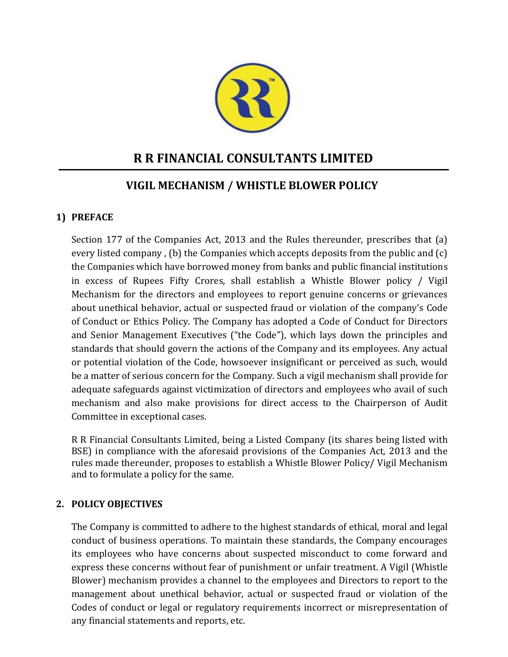

# **R R FINANCIAL CONSULTANTS LIMITED**

## **VIGIL MECHANISM / WHISTLE BLOWER POLICY**

## **1) PREFACE**

Section 177 of the Companies Act, 2013 and the Rules thereunder, prescribes that (a) every listed company , (b) the Companies which accepts deposits from the public and (c) the Companies which have borrowed money from banks and public financial institutions in excess of Rupees Fifty Crores, shall establish a Whistle Blower policy / Vigil Mechanism for the directors and employees to report genuine concerns or grievances about unethical behavior, actual or suspected fraud or violation of the company's Code of Conduct or Ethics Policy. The Company has adopted a Code of Conduct for Directors and Senior Management Executives ("the Code"), which lays down the principles and standards that should govern the actions of the Company and its employees. Any actual or potential violation of the Code, howsoever insignificant or perceived as such, would be a matter of serious concern for the Company. Such a vigil mechanism shall provide for adequate safeguards against victimization of directors and employees who avail of such mechanism and also make provisions for direct access to the Chairperson of Audit Committee in exceptional cases.

R R Financial Consultants Limited, being a Listed Company (its shares being listed with BSE) in compliance with the aforesaid provisions of the Companies Act, 2013 and the rules made thereunder, proposes to establish a Whistle Blower Policy/ Vigil Mechanism and to formulate a policy for the same.

### **2. POLICY OBJECTIVES**

The Company is committed to adhere to the highest standards of ethical, moral and legal conduct of business operations. To maintain these standards, the Company encourages its employees who have concerns about suspected misconduct to come forward and express these concerns without fear of punishment or unfair treatment. A Vigil (Whistle Blower) mechanism provides a channel to the employees and Directors to report to the management about unethical behavior, actual or suspected fraud or violation of the Codes of conduct or legal or regulatory requirements incorrect or misrepresentation of any financial statements and reports, etc.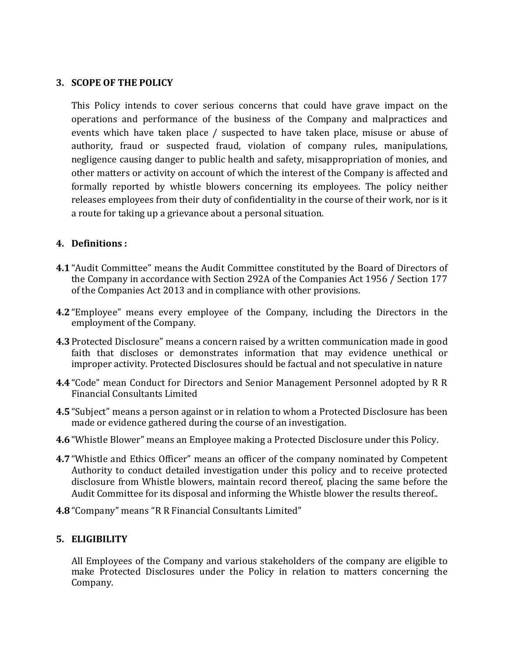#### **3. SCOPE OF THE POLICY**

This Policy intends to cover serious concerns that could have grave impact on the operations and performance of the business of the Company and malpractices and events which have taken place / suspected to have taken place, misuse or abuse of authority, fraud or suspected fraud, violation of company rules, manipulations, negligence causing danger to public health and safety, misappropriation of monies, and other matters or activity on account of which the interest of the Company is affected and formally reported by whistle blowers concerning its employees. The policy neither releases employees from their duty of confidentiality in the course of their work, nor is it a route for taking up a grievance about a personal situation.

#### **4. Definitions :**

- **4.1**"Audit Committee" means the Audit Committee constituted by the Board of Directors of the Company in accordance with Section 292A of the Companies Act 1956 / Section 177 of the Companies Act 2013 and in compliance with other provisions.
- **4.2**"Employee" means every employee of the Company, including the Directors in the employment of the Company.
- **4.3**Protected Disclosure" means a concern raised by a written communication made in good faith that discloses or demonstrates information that may evidence unethical or improper activity. Protected Disclosures should be factual and not speculative in nature
- **4.4**"Code" mean Conduct for Directors and Senior Management Personnel adopted by R R Financial Consultants Limited
- **4.5**"Subject" means a person against or in relation to whom a Protected Disclosure has been made or evidence gathered during the course of an investigation.
- **4.6**"Whistle Blower" means an Employee making a Protected Disclosure under this Policy.
- **4.7**"Whistle and Ethics Officer" means an officer of the company nominated by Competent Authority to conduct detailed investigation under this policy and to receive protected disclosure from Whistle blowers, maintain record thereof, placing the same before the Audit Committee for its disposal and informing the Whistle blower the results thereof..
- **4.8**"Company" means "R R Financial Consultants Limited"

#### **5. ELIGIBILITY**

All Employees of the Company and various stakeholders of the company are eligible to make Protected Disclosures under the Policy in relation to matters concerning the Company.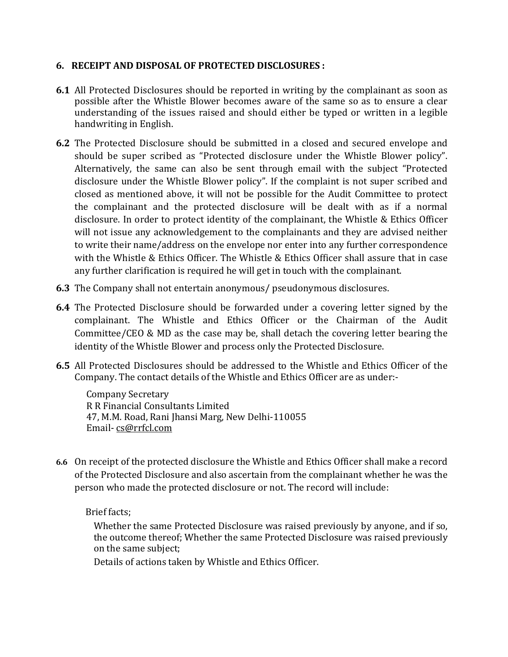#### **6. RECEIPT AND DISPOSAL OF PROTECTED DISCLOSURES :**

- **6.1** All Protected Disclosures should be reported in writing by the complainant as soon as possible after the Whistle Blower becomes aware of the same so as to ensure a clear understanding of the issues raised and should either be typed or written in a legible handwriting in English.
- **6.2** The Protected Disclosure should be submitted in a closed and secured envelope and should be super scribed as "Protected disclosure under the Whistle Blower policy". Alternatively, the same can also be sent through email with the subject "Protected disclosure under the Whistle Blower policy". If the complaint is not super scribed and closed as mentioned above, it will not be possible for the Audit Committee to protect the complainant and the protected disclosure will be dealt with as if a normal disclosure. In order to protect identity of the complainant, the Whistle & Ethics Officer will not issue any acknowledgement to the complainants and they are advised neither to write their name/address on the envelope nor enter into any further correspondence with the Whistle & Ethics Officer. The Whistle & Ethics Officer shall assure that in case any further clarification is required he will get in touch with the complainant.
- **6.3** The Company shall not entertain anonymous/ pseudonymous disclosures.
- **6.4** The Protected Disclosure should be forwarded under a covering letter signed by the complainant. The Whistle and Ethics Officer or the Chairman of the Audit Committee/CEO & MD as the case may be, shall detach the covering letter bearing the identity of the Whistle Blower and process only the Protected Disclosure.
- **6.5** All Protected Disclosures should be addressed to the Whistle and Ethics Officer of the Company. The contact details of the Whistle and Ethics Officer are as under:-

Company Secretary R R Financial Consultants Limited 47, M.M. Road, Rani Jhansi Marg, New Delhi-110055 Email- [cs@rrfcl.com](mailto:cs@rrfcl.com)

**6.6** On receipt of the protected disclosure the Whistle and Ethics Officer shall make a record of the Protected Disclosure and also ascertain from the complainant whether he was the person who made the protected disclosure or not. The record will include:

Brief facts;

Whether the same Protected Disclosure was raised previously by anyone, and if so, the outcome thereof; Whether the same Protected Disclosure was raised previously on the same subject;

Details of actions taken by Whistle and Ethics Officer.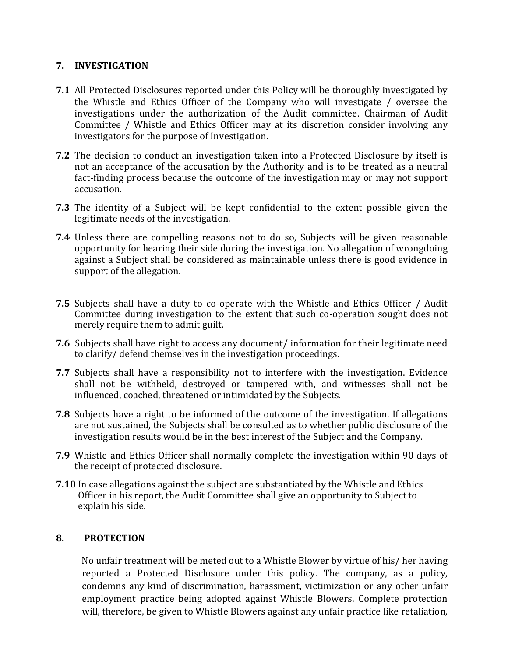#### **7. INVESTIGATION**

- **7.1** All Protected Disclosures reported under this Policy will be thoroughly investigated by the Whistle and Ethics Officer of the Company who will investigate / oversee the investigations under the authorization of the Audit committee. Chairman of Audit Committee / Whistle and Ethics Officer may at its discretion consider involving any investigators for the purpose of Investigation.
- **7.2** The decision to conduct an investigation taken into a Protected Disclosure by itself is not an acceptance of the accusation by the Authority and is to be treated as a neutral fact-finding process because the outcome of the investigation may or may not support accusation.
- **7.3** The identity of a Subject will be kept confidential to the extent possible given the legitimate needs of the investigation.
- **7.4** Unless there are compelling reasons not to do so, Subjects will be given reasonable opportunity for hearing their side during the investigation. No allegation of wrongdoing against a Subject shall be considered as maintainable unless there is good evidence in support of the allegation.
- **7.5** Subjects shall have a duty to co-operate with the Whistle and Ethics Officer / Audit Committee during investigation to the extent that such co-operation sought does not merely require them to admit guilt.
- **7.6** Subjects shall have right to access any document/ information for their legitimate need to clarify/ defend themselves in the investigation proceedings.
- **7.7** Subjects shall have a responsibility not to interfere with the investigation. Evidence shall not be withheld, destroyed or tampered with, and witnesses shall not be influenced, coached, threatened or intimidated by the Subjects.
- **7.8** Subjects have a right to be informed of the outcome of the investigation. If allegations are not sustained, the Subjects shall be consulted as to whether public disclosure of the investigation results would be in the best interest of the Subject and the Company.
- **7.9** Whistle and Ethics Officer shall normally complete the investigation within 90 days of the receipt of protected disclosure.
- **7.10** In case allegations against the subject are substantiated by the Whistle and Ethics Officer in his report, the Audit Committee shall give an opportunity to Subject to explain his side.

#### **8. PROTECTION**

 No unfair treatment will be meted out to a Whistle Blower by virtue of his/ her having reported a Protected Disclosure under this policy. The company, as a policy, condemns any kind of discrimination, harassment, victimization or any other unfair employment practice being adopted against Whistle Blowers. Complete protection will, therefore, be given to Whistle Blowers against any unfair practice like retaliation,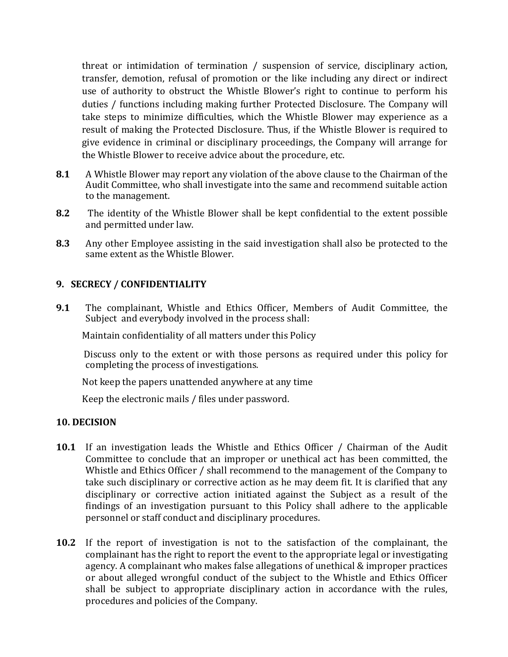threat or intimidation of termination / suspension of service, disciplinary action, transfer, demotion, refusal of promotion or the like including any direct or indirect use of authority to obstruct the Whistle Blower's right to continue to perform his duties / functions including making further Protected Disclosure. The Company will take steps to minimize difficulties, which the Whistle Blower may experience as a result of making the Protected Disclosure. Thus, if the Whistle Blower is required to give evidence in criminal or disciplinary proceedings, the Company will arrange for the Whistle Blower to receive advice about the procedure, etc.

- **8.1** A Whistle Blower may report any violation of the above clause to the Chairman of the Audit Committee, who shall investigate into the same and recommend suitable action to the management.
- **8.2** The identity of the Whistle Blower shall be kept confidential to the extent possible and permitted under law.
- **8.3** Any other Employee assisting in the said investigation shall also be protected to the same extent as the Whistle Blower.

#### **9. SECRECY / CONFIDENTIALITY**

**9.1** The complainant, Whistle and Ethics Officer, Members of Audit Committee, the Subject and everybody involved in the process shall:

Maintain confidentiality of all matters under this Policy

 Discuss only to the extent or with those persons as required under this policy for completing the process of investigations.

Not keep the papers unattended anywhere at any time

Keep the electronic mails / files under password.

#### **10. DECISION**

- **10.1** If an investigation leads the Whistle and Ethics Officer / Chairman of the Audit Committee to conclude that an improper or unethical act has been committed, the Whistle and Ethics Officer / shall recommend to the management of the Company to take such disciplinary or corrective action as he may deem fit. It is clarified that any disciplinary or corrective action initiated against the Subject as a result of the findings of an investigation pursuant to this Policy shall adhere to the applicable personnel or staff conduct and disciplinary procedures.
- **10.2** If the report of investigation is not to the satisfaction of the complainant, the complainant has the right to report the event to the appropriate legal or investigating agency. A complainant who makes false allegations of unethical & improper practices or about alleged wrongful conduct of the subject to the Whistle and Ethics Officer shall be subject to appropriate disciplinary action in accordance with the rules, procedures and policies of the Company.